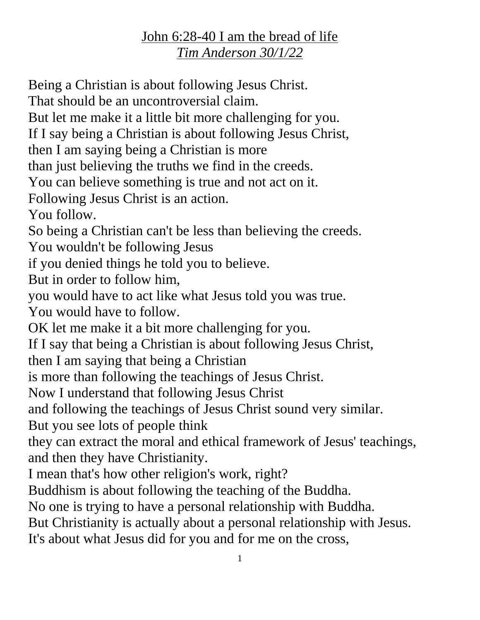## John 6:28-40 I am the bread of life *Tim Anderson 30/1/22*

Being a Christian is about following Jesus Christ. That should be an uncontroversial claim. But let me make it a little bit more challenging for you. If I say being a Christian is about following Jesus Christ, then I am saying being a Christian is more than just believing the truths we find in the creeds. You can believe something is true and not act on it. Following Jesus Christ is an action. You follow. So being a Christian can't be less than believing the creeds. You wouldn't be following Jesus if you denied things he told you to believe. But in order to follow him, you would have to act like what Jesus told you was true. You would have to follow. OK let me make it a bit more challenging for you. If I say that being a Christian is about following Jesus Christ, then I am saying that being a Christian is more than following the teachings of Jesus Christ. Now I understand that following Jesus Christ and following the teachings of Jesus Christ sound very similar. But you see lots of people think they can extract the moral and ethical framework of Jesus' teachings, and then they have Christianity. I mean that's how other religion's work, right? Buddhism is about following the teaching of the Buddha. No one is trying to have a personal relationship with Buddha. But Christianity is actually about a personal relationship with Jesus. It's about what Jesus did for you and for me on the cross,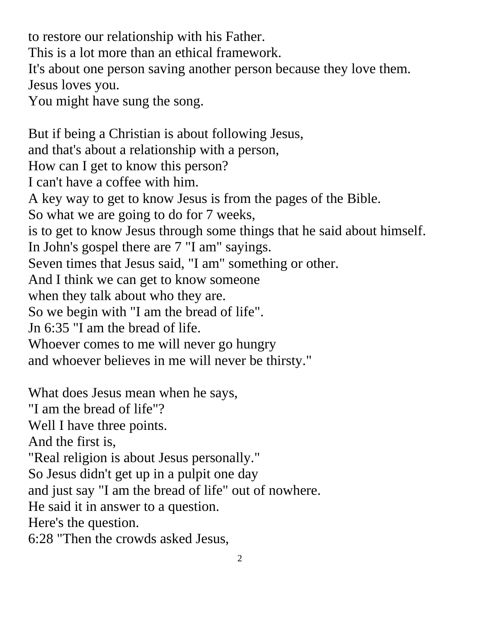to restore our relationship with his Father. This is a lot more than an ethical framework. It's about one person saving another person because they love them. Jesus loves you. You might have sung the song. But if being a Christian is about following Jesus, and that's about a relationship with a person,

How can I get to know this person?

I can't have a coffee with him.

A key way to get to know Jesus is from the pages of the Bible.

So what we are going to do for 7 weeks,

is to get to know Jesus through some things that he said about himself. In John's gospel there are 7 "I am" sayings.

Seven times that Jesus said, "I am" something or other.

And I think we can get to know someone

when they talk about who they are.

So we begin with "I am the bread of life".

Jn 6:35 "I am the bread of life.

Whoever comes to me will never go hungry

and whoever believes in me will never be thirsty."

What does Jesus mean when he says,

"I am the bread of life"?

Well I have three points.

And the first is,

"Real religion is about Jesus personally."

So Jesus didn't get up in a pulpit one day

and just say "I am the bread of life" out of nowhere.

He said it in answer to a question.

Here's the question.

6:28 "Then the crowds asked Jesus,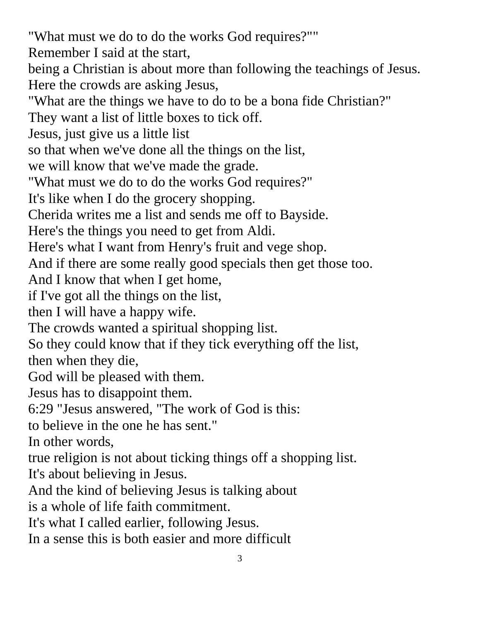"What must we do to do the works God requires?"" Remember I said at the start, being a Christian is about more than following the teachings of Jesus. Here the crowds are asking Jesus, "What are the things we have to do to be a bona fide Christian?" They want a list of little boxes to tick off. Jesus, just give us a little list so that when we've done all the things on the list, we will know that we've made the grade. "What must we do to do the works God requires?" It's like when I do the grocery shopping. Cherida writes me a list and sends me off to Bayside. Here's the things you need to get from Aldi. Here's what I want from Henry's fruit and vege shop. And if there are some really good specials then get those too. And I know that when I get home, if I've got all the things on the list, then I will have a happy wife. The crowds wanted a spiritual shopping list. So they could know that if they tick everything off the list, then when they die, God will be pleased with them. Jesus has to disappoint them. 6:29 "Jesus answered, "The work of God is this: to believe in the one he has sent." In other words, true religion is not about ticking things off a shopping list. It's about believing in Jesus. And the kind of believing Jesus is talking about is a whole of life faith commitment. It's what I called earlier, following Jesus. In a sense this is both easier and more difficult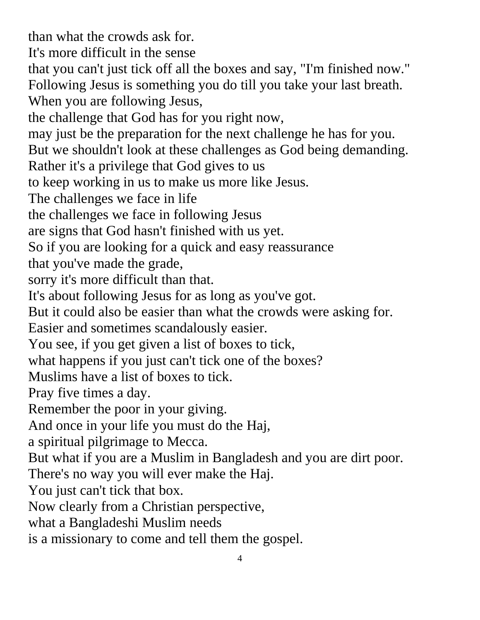than what the crowds ask for. It's more difficult in the sense that you can't just tick off all the boxes and say, "I'm finished now." Following Jesus is something you do till you take your last breath. When you are following Jesus, the challenge that God has for you right now, may just be the preparation for the next challenge he has for you. But we shouldn't look at these challenges as God being demanding. Rather it's a privilege that God gives to us to keep working in us to make us more like Jesus. The challenges we face in life the challenges we face in following Jesus are signs that God hasn't finished with us yet. So if you are looking for a quick and easy reassurance that you've made the grade, sorry it's more difficult than that. It's about following Jesus for as long as you've got. But it could also be easier than what the crowds were asking for. Easier and sometimes scandalously easier. You see, if you get given a list of boxes to tick, what happens if you just can't tick one of the boxes? Muslims have a list of boxes to tick. Pray five times a day. Remember the poor in your giving. And once in your life you must do the Haj, a spiritual pilgrimage to Mecca. But what if you are a Muslim in Bangladesh and you are dirt poor. There's no way you will ever make the Haj. You just can't tick that box. Now clearly from a Christian perspective, what a Bangladeshi Muslim needs is a missionary to come and tell them the gospel.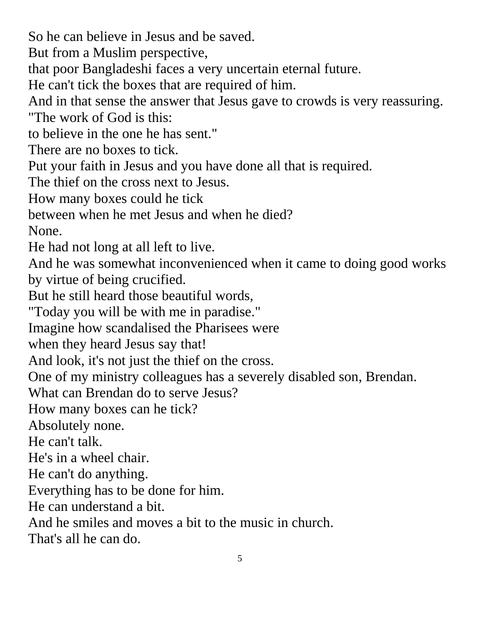So he can believe in Jesus and be saved. But from a Muslim perspective, that poor Bangladeshi faces a very uncertain eternal future. He can't tick the boxes that are required of him. And in that sense the answer that Jesus gave to crowds is very reassuring. "The work of God is this: to believe in the one he has sent." There are no boxes to tick. Put your faith in Jesus and you have done all that is required. The thief on the cross next to Jesus. How many boxes could he tick between when he met Jesus and when he died? None. He had not long at all left to live. And he was somewhat inconvenienced when it came to doing good works by virtue of being crucified. But he still heard those beautiful words, "Today you will be with me in paradise." Imagine how scandalised the Pharisees were when they heard Jesus say that! And look, it's not just the thief on the cross. One of my ministry colleagues has a severely disabled son, Brendan. What can Brendan do to serve Jesus? How many boxes can he tick? Absolutely none. He can't talk. He's in a wheel chair. He can't do anything. Everything has to be done for him. He can understand a bit. And he smiles and moves a bit to the music in church. That's all he can do.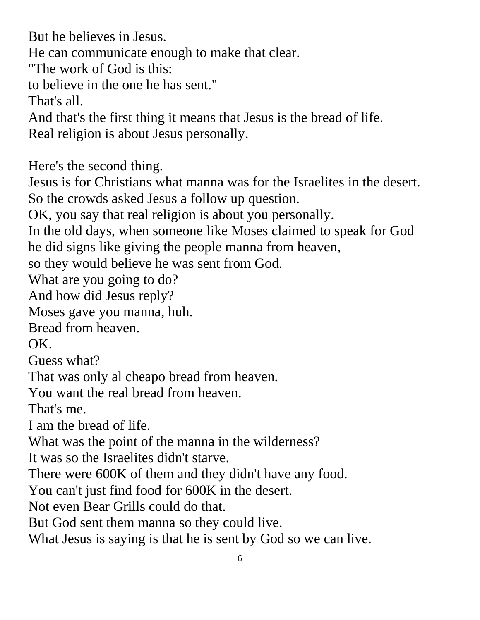But he believes in Jesus.

He can communicate enough to make that clear.

"The work of God is this:

to believe in the one he has sent."

That's all.

And that's the first thing it means that Jesus is the bread of life.

Real religion is about Jesus personally.

Here's the second thing.

Jesus is for Christians what manna was for the Israelites in the desert. So the crowds asked Jesus a follow up question.

OK, you say that real religion is about you personally.

In the old days, when someone like Moses claimed to speak for God he did signs like giving the people manna from heaven,

so they would believe he was sent from God.

What are you going to do?

And how did Jesus reply?

Moses gave you manna, huh.

Bread from heaven.

OK.

Guess what?

That was only al cheapo bread from heaven.

You want the real bread from heaven.

That's me.

I am the bread of life.

What was the point of the manna in the wilderness?

It was so the Israelites didn't starve.

There were 600K of them and they didn't have any food.

You can't just find food for 600K in the desert.

Not even Bear Grills could do that.

But God sent them manna so they could live.

What Jesus is saying is that he is sent by God so we can live.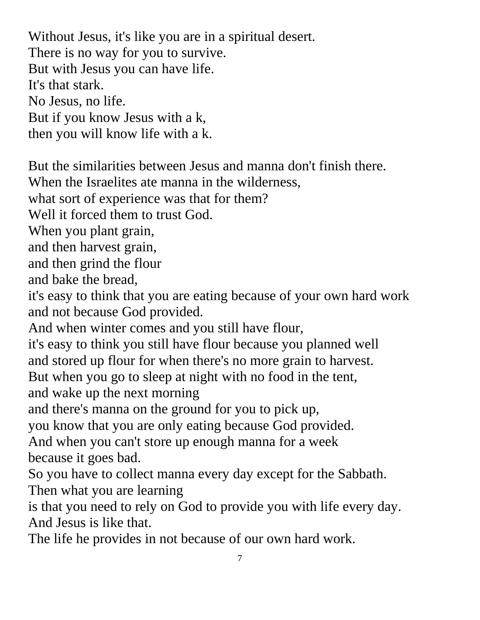Without Jesus, it's like you are in a spiritual desert. There is no way for you to survive. But with Jesus you can have life. It's that stark. No Jesus, no life. But if you know Jesus with a k, then you will know life with a k.

But the similarities between Jesus and manna don't finish there. When the Israelites ate manna in the wilderness, what sort of experience was that for them? Well it forced them to trust God. When you plant grain, and then harvest grain, and then grind the flour and bake the bread, it's easy to think that you are eating because of your own hard work and not because God provided. And when winter comes and you still have flour, it's easy to think you still have flour because you planned well and stored up flour for when there's no more grain to harvest. But when you go to sleep at night with no food in the tent, and wake up the next morning and there's manna on the ground for you to pick up, you know that you are only eating because God provided. And when you can't store up enough manna for a week because it goes bad. So you have to collect manna every day except for the Sabbath. Then what you are learning is that you need to rely on God to provide you with life every day. And Jesus is like that. The life he provides in not because of our own hard work.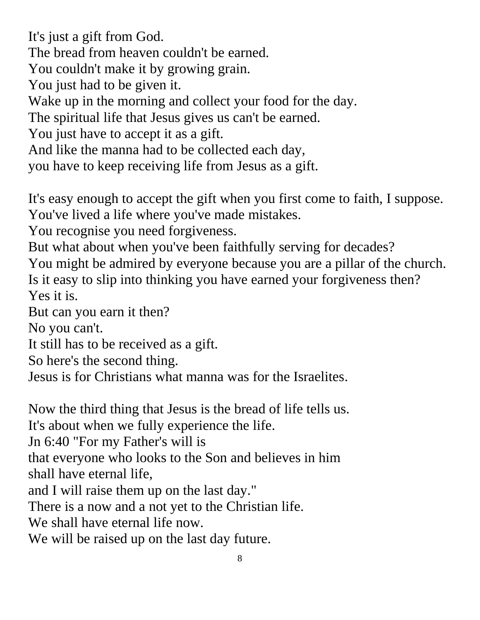It's just a gift from God.

The bread from heaven couldn't be earned.

You couldn't make it by growing grain.

You just had to be given it.

Wake up in the morning and collect your food for the day.

The spiritual life that Jesus gives us can't be earned.

You just have to accept it as a gift.

And like the manna had to be collected each day,

you have to keep receiving life from Jesus as a gift.

It's easy enough to accept the gift when you first come to faith, I suppose. You've lived a life where you've made mistakes.

You recognise you need forgiveness.

But what about when you've been faithfully serving for decades? You might be admired by everyone because you are a pillar of the church. Is it easy to slip into thinking you have earned your forgiveness then? Yes it is.

But can you earn it then?

No you can't.

It still has to be received as a gift.

So here's the second thing.

Jesus is for Christians what manna was for the Israelites.

Now the third thing that Jesus is the bread of life tells us.

It's about when we fully experience the life.

Jn 6:40 "For my Father's will is

that everyone who looks to the Son and believes in him

shall have eternal life,

and I will raise them up on the last day."

There is a now and a not yet to the Christian life.

We shall have eternal life now.

We will be raised up on the last day future.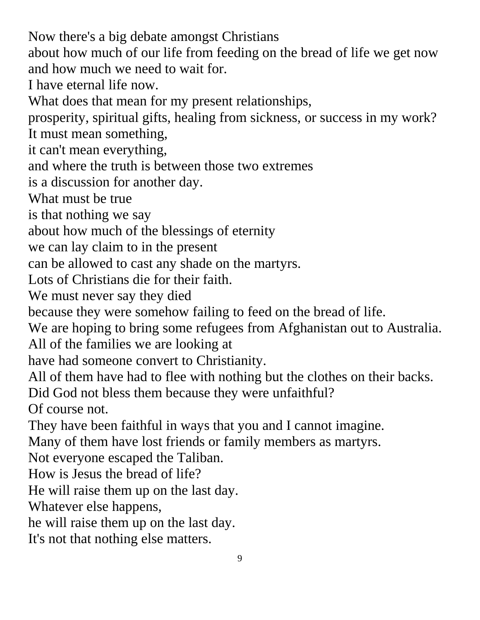Now there's a big debate amongst Christians about how much of our life from feeding on the bread of life we get now and how much we need to wait for. I have eternal life now. What does that mean for my present relationships, prosperity, spiritual gifts, healing from sickness, or success in my work? It must mean something, it can't mean everything, and where the truth is between those two extremes is a discussion for another day. What must be true is that nothing we say about how much of the blessings of eternity we can lay claim to in the present can be allowed to cast any shade on the martyrs. Lots of Christians die for their faith. We must never say they died because they were somehow failing to feed on the bread of life. We are hoping to bring some refugees from Afghanistan out to Australia. All of the families we are looking at have had someone convert to Christianity. All of them have had to flee with nothing but the clothes on their backs. Did God not bless them because they were unfaithful? Of course not. They have been faithful in ways that you and I cannot imagine. Many of them have lost friends or family members as martyrs. Not everyone escaped the Taliban. How is Jesus the bread of life? He will raise them up on the last day. Whatever else happens, he will raise them up on the last day. It's not that nothing else matters.